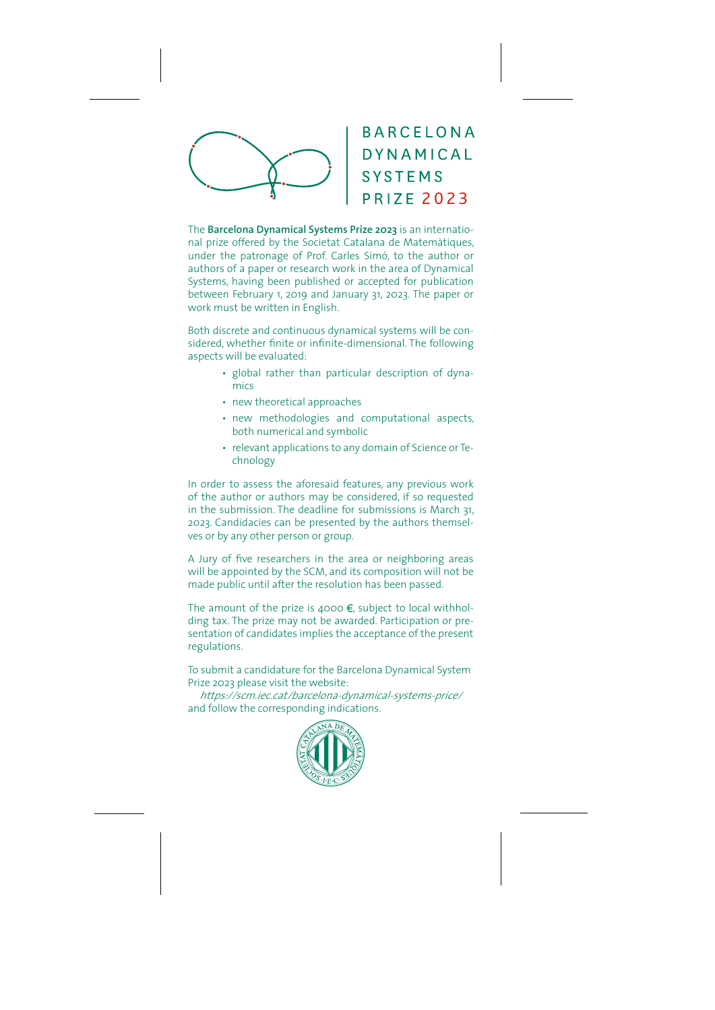

The **Barcelona Dynamical Systems Prize 2023** is an international prize offered by the Societat Catalana de Matemàtiques, under the patronage of Prof. Carles Simó, to the author or authors of a paper or research work in the area of Dynamical Systems, having been published or accepted for publication between February 1, 2019 and January 31, 2023. The paper or work must be written in English.

Both discrete and continuous dynamical systems will be considered, whether finite or infinite-dimensional. The following aspects will be evaluated:

- global rather than particular description of dynamics
- new theoretical approaches
- $\cdot$  new methodologies and computational aspects. both numerical and symbolic
- relevant applications to any domain of Science or Technology

In order to assess the aforesaid features, any previous work of the author or authors may be considered, if so requested in the submission. The deadline for submissions is March 31, 2023. Candidacies can be presented by the authors themselves or by any other person or group.

A Jury of five researchers in the area or neighboring areas will be appointed by the SCM, and its composition will not be made public until after the resolution has been passed.

The amount of the prize is 4000  $\epsilon$ , subject to local withholding tax. The prize may not be awarded. Participation or presentation of candidates implies the acceptance of the present regulations.

To submit a candidature for the Barcelona Dynamical System Prize 2023 please visit the website:

https://scm.iec.cat/barcelona-dynamical-systems-price/ and follow the corresponding indications.